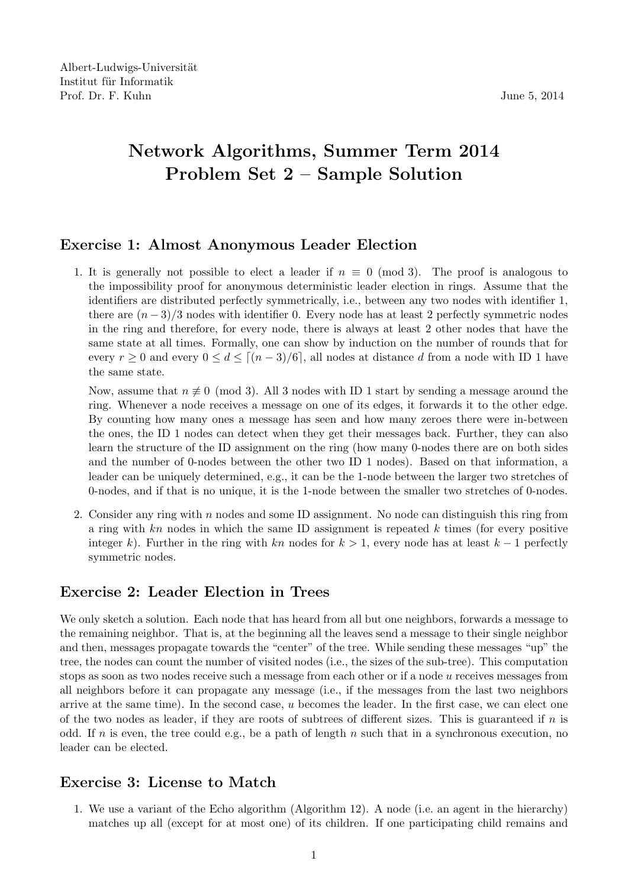## Network Algorithms, Summer Term 2014 Problem Set 2 – Sample Solution

## Exercise 1: Almost Anonymous Leader Election

1. It is generally not possible to elect a leader if  $n \equiv 0 \pmod{3}$ . The proof is analogous to the impossibility proof for anonymous deterministic leader election in rings. Assume that the identifiers are distributed perfectly symmetrically, i.e., between any two nodes with identifier 1, there are  $(n-3)/3$  nodes with identifier 0. Every node has at least 2 perfectly symmetric nodes in the ring and therefore, for every node, there is always at least 2 other nodes that have the same state at all times. Formally, one can show by induction on the number of rounds that for every  $r \geq 0$  and every  $0 \leq d \leq \lceil (n-3)/6 \rceil$ , all nodes at distance d from a node with ID 1 have the same state.

Now, assume that  $n \neq 0 \pmod{3}$ . All 3 nodes with ID 1 start by sending a message around the ring. Whenever a node receives a message on one of its edges, it forwards it to the other edge. By counting how many ones a message has seen and how many zeroes there were in-between the ones, the ID 1 nodes can detect when they get their messages back. Further, they can also learn the structure of the ID assignment on the ring (how many 0-nodes there are on both sides and the number of 0-nodes between the other two ID 1 nodes). Based on that information, a leader can be uniquely determined, e.g., it can be the 1-node between the larger two stretches of 0-nodes, and if that is no unique, it is the 1-node between the smaller two stretches of 0-nodes.

2. Consider any ring with n nodes and some ID assignment. No node can distinguish this ring from a ring with  $kn$  nodes in which the same ID assignment is repeated  $k$  times (for every positive integer k). Further in the ring with kn nodes for  $k > 1$ , every node has at least  $k - 1$  perfectly symmetric nodes.

## Exercise 2: Leader Election in Trees

We only sketch a solution. Each node that has heard from all but one neighbors, forwards a message to the remaining neighbor. That is, at the beginning all the leaves send a message to their single neighbor and then, messages propagate towards the "center" of the tree. While sending these messages "up" the tree, the nodes can count the number of visited nodes (i.e., the sizes of the sub-tree). This computation stops as soon as two nodes receive such a message from each other or if a node u receives messages from all neighbors before it can propagate any message (i.e., if the messages from the last two neighbors arrive at the same time). In the second case,  $u$  becomes the leader. In the first case, we can elect one of the two nodes as leader, if they are roots of subtrees of different sizes. This is guaranteed if  $n$  is odd. If n is even, the tree could e.g., be a path of length n such that in a synchronous execution, no leader can be elected.

## Exercise 3: License to Match

1. We use a variant of the Echo algorithm (Algorithm 12). A node (i.e. an agent in the hierarchy) matches up all (except for at most one) of its children. If one participating child remains and